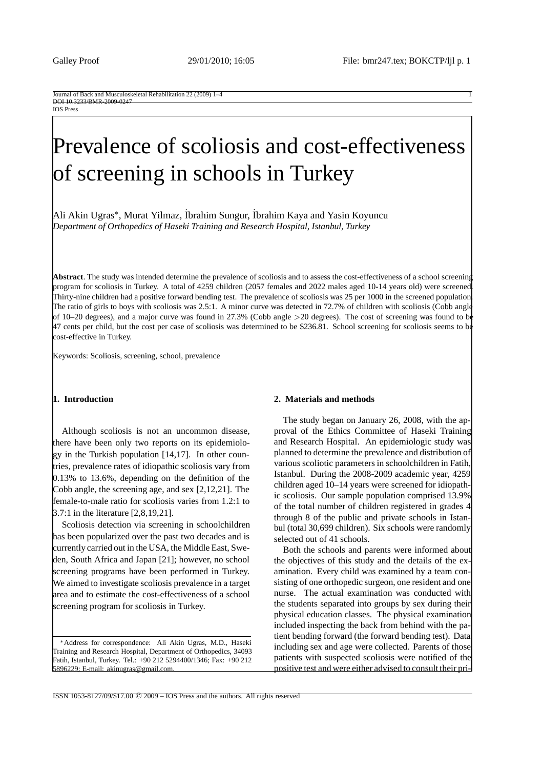#### IOS Press

# Prevalence of scoliosis and cost-effectiveness of screening in schools in Turkey

Ali Akin Ugras∗, Murat Yilmaz, ˙ Ibrahim Sungur, ˙ Ibrahim Kaya and Yasin Koyuncu *Department of Orthopedics of Haseki Training and Research Hospital, Istanbul, Turkey*

**Abstract**. The study was intended determine the prevalence of scoliosis and to assess the cost-effectiveness of a school screening program for scoliosis in Turkey. A total of 4259 children (2057 females and 2022 males aged 10-14 years old) were screened. Thirty-nine children had a positive forward bending test. The prevalence of scoliosis was 25 per 1000 in the screened population. The ratio of girls to boys with scoliosis was 2.5:1. A minor curve was detected in 72.7% of children with scoliosis (Cobb angle of 10–20 degrees), and a major curve was found in 27.3% (Cobb angle *>*20 degrees). The cost of screening was found to be 47 cents per child, but the cost per case of scoliosis was determined to be \$236.81. School screening for scoliosis seems to be cost-effective in Turkey.

Keywords: Scoliosis, screening, school, prevalence

## **1. Introduction**

Although scoliosis is not an uncommon disease, there have been only two reports on its epidemiology in the Turkish population [14,17]. In other countries, prevalence rates of idiopathic scoliosis vary from 0.13% to 13.6%, depending on the definition of the Cobb angle, the screening age, and sex [2,12,21]. The female-to-male ratio for scoliosis varies from 1.2:1 to 3.7:1 in the literature [2,8,19,21].

Scoliosis detection via screening in schoolchildren has been popularized over the past two decades and is currently carried out in the USA, the Middle East, Sweden, South Africa and Japan [21]; however, no school screening programs have been performed in Turkey. We aimed to investigate scoliosis prevalence in a target area and to estimate the cost-effectiveness of a school screening program for scoliosis in Turkey.

∗Address for correspondence: Ali Akin Ugras, M.D., Haseki Training and Research Hospital, Department of Orthopedics, 34093 Fatih, Istanbul, Turkey. Tel.: +90 212 5294400/1346; Fax: +90 212 5896229; E-mail: akinugras@gmail.com.

## **2. Materials and methods**

The study began on January 26, 2008, with the approval of the Ethics Committee of Haseki Training and Research Hospital. An epidemiologic study was planned to determine the prevalence and distribution of various scoliotic parameters in schoolchildren in Fatih, Istanbul. During the 2008-2009 academic year, 4259 children aged 10–14 years were screened for idiopathic scoliosis. Our sample population comprised 13.9% of the total number of children registered in grades 4 through 8 of the public and private schools in Istanbul (total 30,699 children). Six schools were randomly selected out of 41 schools.

Both the schools and parents were informed about the objectives of this study and the details of the examination. Every child was examined by a team consisting of one orthopedic surgeon, one resident and one nurse. The actual examination was conducted with the students separated into groups by sex during their physical education classes. The physical examination included inspecting the back from behind with the patient bending forward (the forward bending test). Data including sex and age were collected. Parents of those patients with suspected scoliosis were notified of the positive test and were either advised to consult their pri-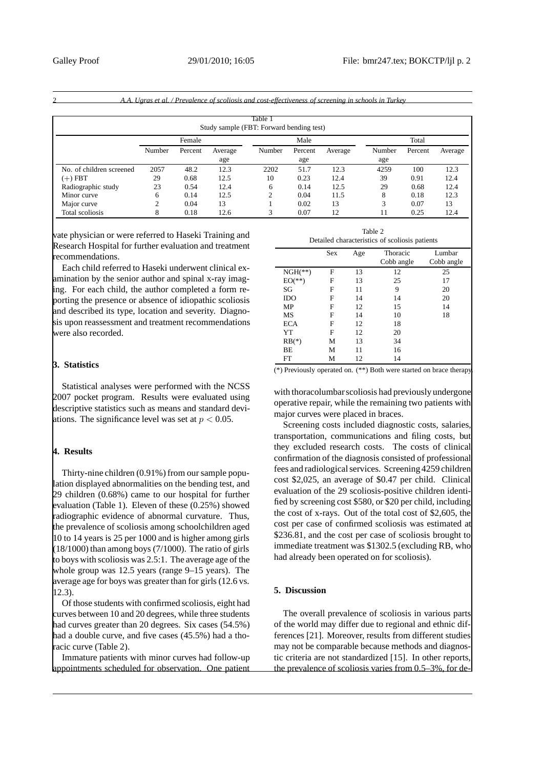|                                                     |        |         |         |        |         |         | A.A. Ugras et al. / Prevalence of scoliosis and cost-effectiveness of screening in schools in Turkey |         |         |
|-----------------------------------------------------|--------|---------|---------|--------|---------|---------|------------------------------------------------------------------------------------------------------|---------|---------|
| Table 1<br>Study sample (FBT: Forward bending test) |        |         |         |        |         |         |                                                                                                      |         |         |
|                                                     | Female |         |         | Male   |         |         | Total                                                                                                |         |         |
|                                                     | Number | Percent | Average | Number | Percent | Average | Number                                                                                               | Percent | Average |
|                                                     |        |         | age     |        | age     |         | age                                                                                                  |         |         |
| No. of children screened                            | 2057   | 48.2    | 12.3    | 2202   | 51.7    | 12.3    | 4259                                                                                                 | 100     | 12.3    |
| $(+)$ FBT                                           | 29     | 0.68    | 12.5    | 10     | 0.23    | 12.4    | 39                                                                                                   | 0.91    | 12.4    |
| Radiographic study                                  | 23     | 0.54    | 12.4    | 6      | 0.14    | 12.5    | 29                                                                                                   | 0.68    | 12.4    |
| Minor curve                                         | 6      | 0.14    | 12.5    |        | 0.04    | 11.5    | 8                                                                                                    | 0.18    | 12.3    |
| Major curve                                         | 2      | 0.04    | 13      |        | 0.02    | 13      | 3                                                                                                    | 0.07    | 13      |
| Total scoliosis                                     | 8      | 0.18    | 12.6    |        | 0.07    | 12      | 11                                                                                                   | 0.25    | 12.4    |

vate physician or were referred to Haseki Training and Research Hospital for further evaluation and treatment recommendations.

Each child referred to Haseki underwent clinical examination by the senior author and spinal x-ray imaging. For each child, the author completed a form reporting the presence or absence of idiopathic scoliosis and described its type, location and severity. Diagnosis upon reassessment and treatment recommendations were also recorded.

## **3. Statistics**

Statistical analyses were performed with the NCSS 2007 pocket program. Results were evaluated using descriptive statistics such as means and standard deviations. The significance level was set at *p <* 0.05.

## **4. Results**

Thirty-nine children (0.91%) from our sample population displayed abnormalities on the bending test, and 29 children (0.68%) came to our hospital for further evaluation (Table 1). Eleven of these (0.25%) showed radiographic evidence of abnormal curvature. Thus, the prevalence of scoliosis among schoolchildren aged 10 to 14 years is 25 per 1000 and is higher among girls  $(18/1000)$  than among boys (7/1000). The ratio of girls to boys with scoliosis was 2.5:1. The average age of the whole group was 12.5 years (range 9–15 years). The average age for boys was greater than for girls (12.6 vs. 12.3).

Of those students with confirmed scoliosis, eight had curves between 10 and 20 degrees, while three students had curves greater than 20 degrees. Six cases (54.5%) had a double curve, and five cases (45.5%) had a thoracic curve (Table 2).

Immature patients with minor curves had follow-up appointments scheduled for observation. One patient

| Detailed characteristics of scoliosis patients |     |     |                        |                      |  |  |  |  |  |
|------------------------------------------------|-----|-----|------------------------|----------------------|--|--|--|--|--|
|                                                | Sex | Age | Thoracic<br>Cobb angle | Lumbar<br>Cobb angle |  |  |  |  |  |
| $NGH(**)$                                      | F   | 13  | 12                     | 25                   |  |  |  |  |  |
| $EO(**)$                                       | F   | 13  | 25                     | 17                   |  |  |  |  |  |
| SG                                             | F   | 11  | 9                      | 20                   |  |  |  |  |  |
| <b>IDO</b>                                     | F   | 14  | 14                     | 20                   |  |  |  |  |  |
| MP                                             | F   | 12  | 15                     | 14                   |  |  |  |  |  |
| MS                                             | F   | 14  | 10                     | 18                   |  |  |  |  |  |
| <b>ECA</b>                                     | F   | 12  | 18                     |                      |  |  |  |  |  |
| YT                                             | F   | 12  | 20                     |                      |  |  |  |  |  |
| $RB(*)$                                        | М   | 13  | 34                     |                      |  |  |  |  |  |
| BΕ                                             | М   | 11  | 16                     |                      |  |  |  |  |  |
| FT                                             | М   | 12  | 14                     |                      |  |  |  |  |  |

Table 2

(\*) Previously operated on. (\*\*) Both were started on brace therapy.

with thoracolumbarscoliosis had previously undergone operative repair, while the remaining two patients with major curves were placed in braces.

Screening costs included diagnostic costs, salaries, transportation, communications and filing costs, but they excluded research costs. The costs of clinical confirmation of the diagnosis consisted of professional fees and radiological services. Screening 4259 children cost \$2,025, an average of \$0.47 per child. Clinical evaluation of the 29 scoliosis-positive children identified by screening cost \$580, or \$20 per child, including the cost of x-rays. Out of the total cost of \$2,605, the cost per case of confirmed scoliosis was estimated at \$236.81, and the cost per case of scoliosis brought to immediate treatment was \$1302.5 (excluding RB, who had already been operated on for scoliosis).

## **5. Discussion**

The overall prevalence of scoliosis in various parts of the world may differ due to regional and ethnic differences [21]. Moreover, results from different studies may not be comparable because methods and diagnostic criteria are not standardized [15]. In other reports, the prevalence of scoliosis varies from 0.5–3%, for de-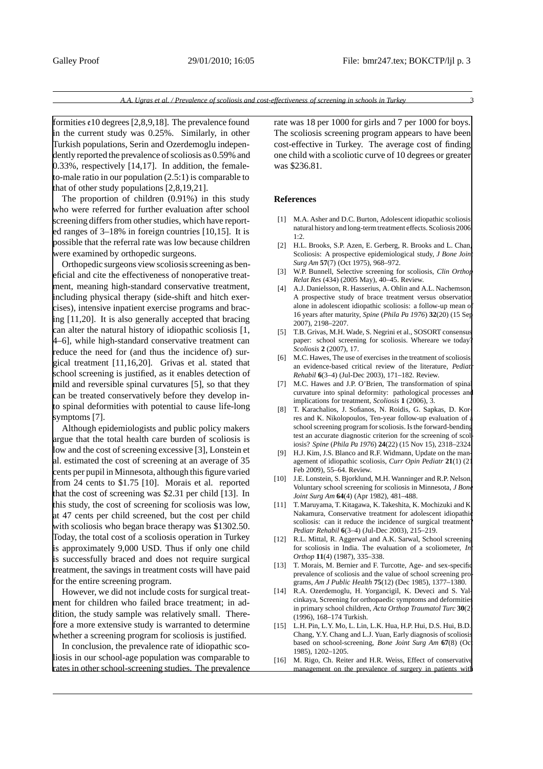formities  $\epsilon$ 10 degrees [2,8,9,18]. The prevalence found in the current study was 0.25%. Similarly, in other Turkish populations, Serin and Ozerdemoglu independently reported the prevalence of scoliosis as 0.59% and 0.33%, respectively [14,17]. In addition, the femaleto-male ratio in our population (2.5:1) is comparable to that of other study populations [2,8,19,21].

The proportion of children (0.91%) in this study who were referred for further evaluation after school screening differs from other studies, which have reported ranges of 3–18% in foreign countries [10,15]. It is possible that the referral rate was low because children were examined by orthopedic surgeons.

Orthopedic surgeons view scoliosis screening as beneficial and cite the effectiveness of nonoperative treatment, meaning high-standard conservative treatment, including physical therapy (side-shift and hitch exercises), intensive inpatient exercise programs and bracing [11,20]. It is also generally accepted that bracing can alter the natural history of idiopathic scoliosis [1, 4–6], while high-standard conservative treatment can reduce the need for (and thus the incidence of) surgical treatment [11,16,20]. Grivas et al. stated that school screening is justified, as it enables detection of mild and reversible spinal curvatures [5], so that they can be treated conservatively before they develop into spinal deformities with potential to cause life-long symptoms [7].

Although epidemiologists and public policy makers argue that the total health care burden of scoliosis is low and the cost of screening excessive [3], Lonstein et al. estimated the cost of screening at an average of 35 cents per pupil in Minnesota, although this figure varied from 24 cents to \$1.75 [10]. Morais et al. reported that the cost of screening was \$2.31 per child [13]. In this study, the cost of screening for scoliosis was low, at 47 cents per child screened, but the cost per child with scoliosis who began brace therapy was \$1302.50. Today, the total cost of a scoliosis operation in Turkey is approximately 9,000 USD. Thus if only one child is successfully braced and does not require surgical treatment, the savings in treatment costs will have paid for the entire screening program.

However, we did not include costs for surgical treatment for children who failed brace treatment; in addition, the study sample was relatively small. Therefore a more extensive study is warranted to determine whether a screening program for scoliosis is justified.

In conclusion, the prevalence rate of idiopathic scoliosis in our school-age population was comparable to rates in other school-screening studies. The prevalence rate was 18 per 1000 for girls and 7 per 1000 for boys. The scoliosis screening program appears to have been cost-effective in Turkey. The average cost of finding one child with a scoliotic curve of 10 degrees or greater was \$236.81.

#### **References**

- [1] M.A. Asher and D.C. Burton, Adolescent idiopathic scoliosis natural history and long-term treatment effects. Scoliosis 2006, 1:2.
- [2] H.L. Brooks, S.P. Azen, E. Gerberg, R. Brooks and L. Chan, Scoliosis: A prospective epidemiological study, *J Bone Join Surg Am* **57**(7) (Oct 1975), 968–972.
- [3] W.P. Bunnell, Selective screening for scoliosis, *Clin Orthop Relat Res* (434) (2005 May), 40–45. Review.
- [4] A.J. Danielsson, R. Hasserius, A. Ohlin and A.L. Nachemson, A prospective study of brace treatment versus observation alone in adolescent idiopathic scoliosis: a follow-up mean of 16 years after maturity, *Spine* (*Phila Pa 1976*) **32**(20) (15 Sep 2007), 2198–2207.
- [5] T.B. Grivas, M.H. Wade, S. Negrini et al., SOSORT consensus paper: school screening for scoliosis. Whereare we today *Scoliosis* **2** (2007), 17.
- [6] M.C. Hawes, The use of exercises in the treatment of scoliosis: an evidence-based critical review of the literature, *Pediat Rehabil* **6**(3–4) (Jul-Dec 2003), 171–182. Review.
- [7] M.C. Hawes and J.P. O'Brien, The transformation of spinal curvature into spinal deformity: pathological processes and implications for treatment, *Scoliosis* **1** (2006), 3.
- [8] T. Karachalios, J. Sofianos, N. Roidis, G. Sapkas, D. Korres and K. Nikolopoulos, Ten-year follow-up evaluation of school screening program for scoliosis. Is the forward-bending test an accurate diagnostic criterion for the screening of scoliosis? *Spine* (*Phila Pa 1976*) **24**(22) (15 Nov 15), 2318–2324.
- [9] H.J. Kim, J.S. Blanco and R.F. Widmann, Update on the management of idiopathic scoliosis, *Curr Opin Pediatr* 21(1) (2 Feb 2009), 55–64. Review.
- [10] J.E. Lonstein, S. Bjorklund, M.H. Wanninger and R.P. Nelson, Voluntary school screening for scoliosis in Minnesota, *J Bone Joint Surg Am* **64**(4) (Apr 1982), 481–488.
- [11] T. Maruyama, T. Kitagawa, K. Takeshita, K. Mochizuki and K. Nakamura, Conservative treatment for adolescent idiopathic scoliosis: can it reduce the incidence of surgical treatment *Pediatr Rehabil* **6**(3–4) (Jul-Dec 2003), 215–219.
- [12] R.L. Mittal, R. Aggerwal and A.K. Sarwal, School screening for scoliosis in India. The evaluation of a scoliometer, *Int Orthop* **11**(4) (1987), 335–338.
- [13] T. Morais, M. Bernier and F. Turcotte, Age- and sex-specific prevalence of scoliosis and the value of school screening programs, *Am J Public Health* **75**(12) (Dec 1985), 1377–1380.
- [14] R.A. Ozerdemoglu, H. Yorgancigil, K. Deveci and S. Yalcinkaya, Screening for orthopaedic symptoms and deformities in primary school children, *Acta Orthop Traumatol Turc* **30**(2) (1996), 168–174 Turkish.
- [15] L.H. Pin, L.Y. Mo, L. Lin, L.K. Hua, H.P. Hui, D.S. Hui, B.D. Chang, Y.Y. Chang and L.J. Yuan, Early diagnosis of scoliosis based on school-screening, *Bone Joint Surg Am* 67(8) (Oc 1985), 1202–1205.
- [16] M. Rigo, Ch. Reiter and H.R. Weiss, Effect of conservative management on the prevalence of surgery in patients with